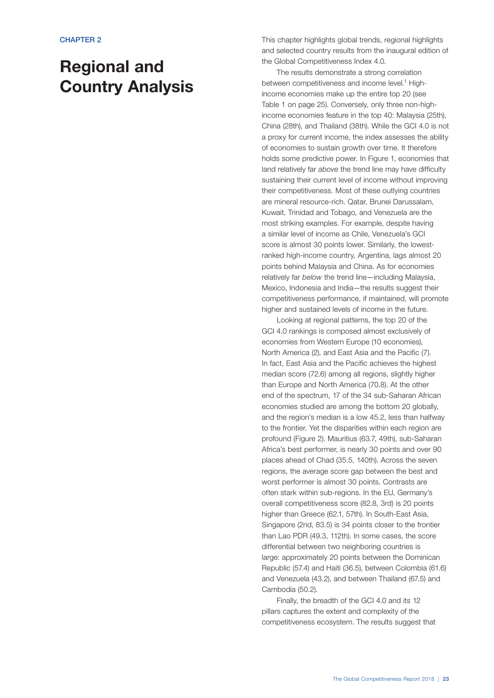# Regional and Country Analysis

This chapter highlights global trends, regional highlights and selected country results from the inaugural edition of the Global Competitiveness Index 4.0.

The results demonstrate a strong correlation between competitiveness and income level.<sup>1</sup> Highincome economies make up the entire top 20 (see Table 1 on page 25). Conversely, only three non-highincome economies feature in the top 40: Malaysia (25th), China (28th), and Thailand (38th). While the GCI 4.0 is not a proxy for current income, the index assesses the ability of economies to sustain growth over time. It therefore holds some predictive power. In Figure 1, economies that land relatively far *above* the trend line may have difficulty sustaining their current level of income without improving their competitiveness. Most of these outlying countries are mineral resource-rich. Qatar, Brunei Darussalam, Kuwait, Trinidad and Tobago, and Venezuela are the most striking examples. For example, despite having a similar level of income as Chile, Venezuela's GCI score is almost 30 points lower. Similarly, the lowestranked high-income country, Argentina, lags almost 20 points behind Malaysia and China. As for economies relatively far *below* the trend line—including Malaysia, Mexico, Indonesia and India—the results suggest their competitiveness performance, if maintained, will promote higher and sustained levels of income in the future.

Looking at regional patterns, the top 20 of the GCI 4.0 rankings is composed almost exclusively of economies from Western Europe (10 economies), North America (2), and East Asia and the Pacific (7). In fact, East Asia and the Pacific achieves the highest median score (72.6) among all regions, slightly higher than Europe and North America (70.8). At the other end of the spectrum, 17 of the 34 sub-Saharan African economies studied are among the bottom 20 globally, and the region's median is a low 45.2, less than halfway to the frontier. Yet the disparities within each region are profound (Figure 2). Mauritius (63.7, 49th), sub-Saharan Africa's best performer, is nearly 30 points and over 90 places ahead of Chad (35.5, 140th). Across the seven regions, the average score gap between the best and worst performer is almost 30 points. Contrasts are often stark within sub-regions. In the EU, Germany's overall competitiveness score (82.8, 3rd) is 20 points higher than Greece (62.1, 57th). In South-East Asia, Singapore (2nd, 83.5) is 34 points closer to the frontier than Lao PDR (49.3, 112th). In some cases, the score differential between two neighboring countries is large: approximately 20 points between the Dominican Republic (57.4) and Haiti (36.5), between Colombia (61.6) and Venezuela (43.2), and between Thailand (67.5) and Cambodia (50.2).

Finally, the breadth of the GCI 4.0 and its 12 pillars captures the extent and complexity of the competitiveness ecosystem. The results suggest that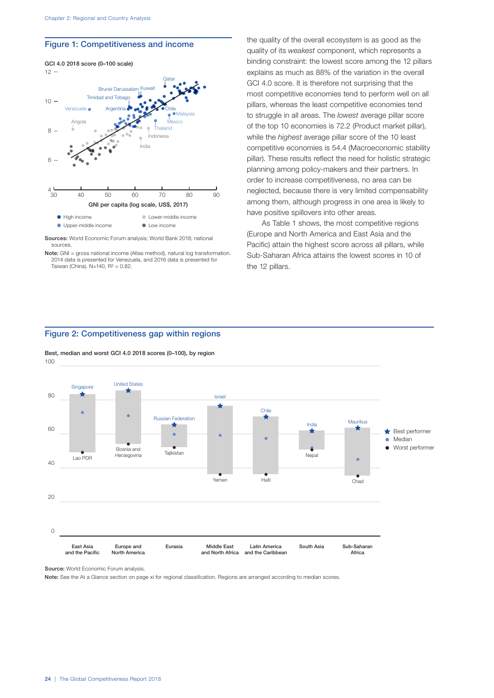#### Figure 1: Competitiveness and income



Sources: World Economic Forum analysis; World Bank 2018; national sources.

the quality of the overall ecosystem is as good as the quality of its *weakest* component, which represents a binding constraint: the lowest score among the 12 pillars explains as much as 88% of the variation in the overall GCI 4.0 score. It is therefore not surprising that the most competitive economies tend to perform well on all pillars, whereas the least competitive economies tend to struggle in all areas. The *lowest* average pillar score of the top 10 economies is 72.2 (Product market pillar), while the *highest* average pillar score of the 10 least competitive economies is 54.4 (Macroeconomic stability pillar). These results reflect the need for holistic strategic planning among policy-makers and their partners. In order to increase competitiveness, no area can be neglected, because there is very limited compensability among them, although progress in one area is likely to have positive spillovers into other areas.

As Table 1 shows, the most competitive regions (Europe and North America and East Asia and the Pacific) attain the highest score across all pillars, while Sub-Saharan Africa attains the lowest scores in 10 of the 12 pillars.

# Figure 2: Competitiveness gap within regions

100 Best, median and worst GCI 4.0 2018 scores (0–100), by region



Source: World Economic Forum analysis.

Note: See the At a Glance section on page xi for regional classification. Regions are arranged according to median scores.

Note: GNI = gross national income (Atlas method), natural log transformation. 2014 data is presented for Venezuela, and 2016 data is presented for Taiwan (China). N=140,  $R^2 = 0.82$ .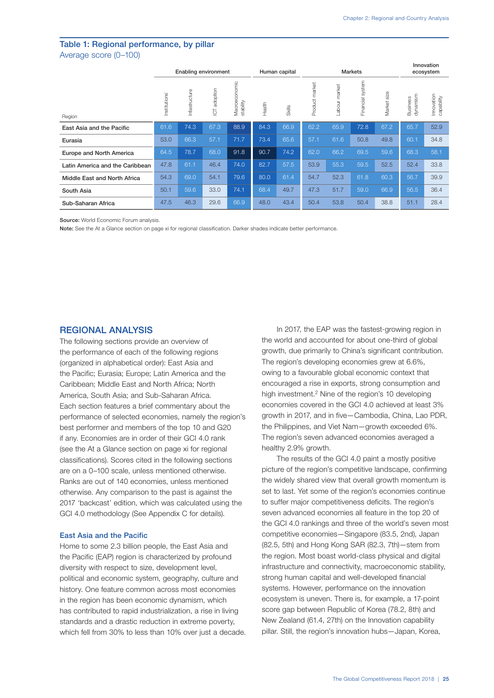## Table 1: Regional performance, by pillar Average score (0–100)

|                                 | Enabling environment |               |                            |                            | Human capital |        | <b>Markets</b> |               |                     |                | Innovation<br>ecosystem |                          |
|---------------------------------|----------------------|---------------|----------------------------|----------------------------|---------------|--------|----------------|---------------|---------------------|----------------|-------------------------|--------------------------|
| Region                          | Institutions         | Infastructure | adoption<br>$\overline{C}$ | Macroeconomic<br>stability | Health        | Skills | Product market | Labour market | system<br>Financial | size<br>Market | dynamism<br>Business    | Innovation<br>capability |
| East Asia and the Pacific       | 61.6                 | 74.3          | 67.3                       | 88.9                       | 84.3          | 66.9   | 62.2           | 65.9          | 72.8                | 67.2           | 65.7                    | 52.9                     |
| Eurasia                         | 53.0                 | 66.3          | 57.1                       | 71.7                       | 73.4          | 65.6   | 57.1           | 61.6          | 50.8                | 49.8           | 60.1                    | 34.8                     |
| Europe and North America        | 64.5                 | 78.7          | 68.0                       | 91.8                       | 90.7          | 74.2   | 62.0           | 66.2          | 69.5                | 59.6           | 68.3                    | 58.1                     |
| Latin America and the Caribbean | 47.8                 | 61.1          | 46.4                       | 74.0                       | 82.7          | 57.5   | 53.9           | 55.3          | 59.5                | 52.5           | 52.4                    | 33.8                     |
| Middle East and North Africa    | 54.3                 | 69.0          | 54.1                       | 79.6                       | 80.0          | 61.4   | 54.7           | 52.3          | 61.8                | 60.3           | 56.7                    | 39.9                     |
| South Asia                      | 50.1                 | 59.6          | 33.0                       | 74.1                       | 68.4          | 49.7   | 47.3           | 51.7          | 59.0                | 66.9           | 56.5                    | 36.4                     |
| Sub-Saharan Africa              | 47.5                 | 46.3          | 29.6                       | 66.9                       | 48.0          | 43.4   | 50.4           | 53.8          | 50.4                | 38.8           | 51.1                    | 28.4                     |

Source: World Economic Forum analysis.

Note: See the At a Glance section on page xi for regional classification. Darker shades indicate better performance.

## REGIONAL ANALYSIS

The following sections provide an overview of the performance of each of the following regions (organized in alphabetical order): East Asia and the Pacific; Eurasia; Europe; Latin America and the Caribbean; Middle East and North Africa; North America, South Asia; and Sub-Saharan Africa. Each section features a brief commentary about the performance of selected economies, namely the region's best performer and members of the top 10 and G20 if any. Economies are in order of their GCI 4.0 rank (see the At a Glance section on page xi for regional classifications). Scores cited in the following sections are on a 0–100 scale, unless mentioned otherwise. Ranks are out of 140 economies, unless mentioned otherwise. Any comparison to the past is against the 2017 'backcast' edition, which was calculated using the GCI 4.0 methodology (See Appendix C for details).

## East Asia and the Pacific

Home to some 2.3 billion people, the East Asia and the Pacific (EAP) region is characterized by profound diversity with respect to size, development level, political and economic system, geography, culture and history. One feature common across most economies in the region has been economic dynamism, which has contributed to rapid industrialization, a rise in living standards and a drastic reduction in extreme poverty, which fell from 30% to less than 10% over just a decade.

In 2017, the EAP was the fastest-growing region in the world and accounted for about one-third of global growth, due primarily to China's significant contribution. The region's developing economies grew at 6.6%, owing to a favourable global economic context that encouraged a rise in exports, strong consumption and high investment.2 Nine of the region's 10 developing economies covered in the GCI 4.0 achieved at least 3% growth in 2017, and in five—Cambodia, China, Lao PDR, the Philippines, and Viet Nam—growth exceeded 6%. The region's seven advanced economies averaged a healthy 2.9% growth.

The results of the GCI 4.0 paint a mostly positive picture of the region's competitive landscape, confirming the widely shared view that overall growth momentum is set to last. Yet some of the region's economies continue to suffer major competitiveness deficits. The region's seven advanced economies all feature in the top 20 of the GCI 4.0 rankings and three of the world's seven most competitive economies—Singapore (83.5, 2nd), Japan (82.5, 5th) and Hong Kong SAR (82.3, 7th)—stem from the region. Most boast world-class physical and digital infrastructure and connectivity, macroeconomic stability, strong human capital and well-developed financial systems. However, performance on the innovation ecosystem is uneven. There is, for example, a 17-point score gap between Republic of Korea (78.2, 8th) and New Zealand (61.4, 27th) on the Innovation capability pillar. Still, the region's innovation hubs—Japan, Korea,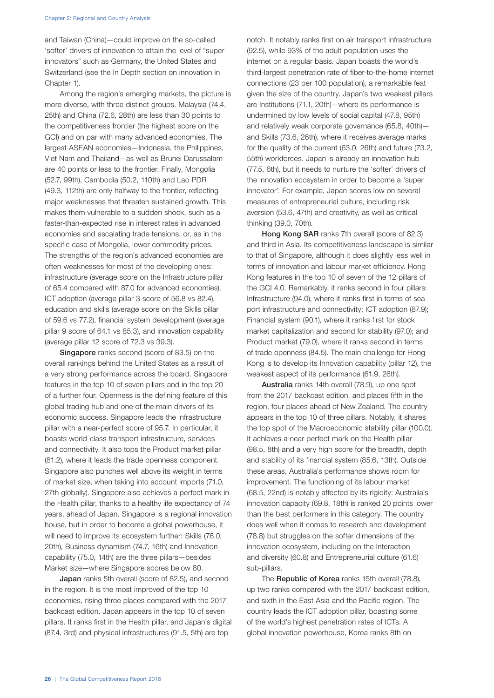and Taiwan (China)—could improve on the so-called 'softer' drivers of innovation to attain the level of "super innovators" such as Germany, the United States and Switzerland (see the In Depth section on innovation in Chapter 1).

Among the region's emerging markets, the picture is more diverse, with three distinct groups. Malaysia (74.4, 25th) and China (72.6, 28th) are less than 30 points to the competitiveness frontier (the highest score on the GCI) and on par with many advanced economies. The largest ASEAN economies—Indonesia, the Philippines, Viet Nam and Thailand—as well as Brunei Darussalam are 40 points or less to the frontier. Finally, Mongolia (52.7, 99th), Cambodia (50.2, 110th) and Lao PDR (49.3, 112th) are only halfway to the frontier, reflecting major weaknesses that threaten sustained growth. This makes them vulnerable to a sudden shock, such as a faster-than-expected rise in interest rates in advanced economies and escalating trade tensions, or, as in the specific case of Mongolia, lower commodity prices. The strengths of the region's advanced economies are often weaknesses for most of the developing ones: infrastructure (average score on the Infrastructure pillar of 65.4 compared with 87.0 for advanced economies), ICT adoption (average pillar 3 score of 56.8 vs 82.4), education and skills (average score on the Skills pillar of 59.6 vs 77.2), financial system development (average pillar 9 score of 64.1 vs 85.3), and innovation capability (average pillar 12 score of 72.3 vs 39.3).

Singapore ranks second (score of 83.5) on the overall rankings behind the United States as a result of a very strong performance across the board. Singapore features in the top 10 of seven pillars and in the top 20 of a further four. Openness is the defining feature of this global trading hub and one of the main drivers of its economic success. Singapore leads the Infrastructure pillar with a near-perfect score of 95.7. In particular, it boasts world-class transport infrastructure, services and connectivity. It also tops the Product market pillar (81.2), where it leads the trade openness component. Singapore also punches well above its weight in terms of market size, when taking into account imports (71.0, 27th globally). Singapore also achieves a perfect mark in the Health pillar, thanks to a healthy life expectancy of 74 years, ahead of Japan. Singapore is a regional innovation house, but in order to become a global powerhouse, it will need to improve its ecosystem further: Skills (76.0, 20th), Business dynamism (74.7, 16th) and Innovation capability (75.0, 14th) are the three pillars—besides Market size—where Singapore scores below 80.

Japan ranks 5th overall (score of 82.5), and second in the region. It is the most improved of the top 10 economies, rising three places compared with the 2017 backcast edition. Japan appears in the top 10 of seven pillars. It ranks first in the Health pillar, and Japan's digital (87.4, 3rd) and physical infrastructures (91.5, 5th) are top

notch. It notably ranks first on air transport infrastructure (92.5), while 93% of the adult population uses the internet on a regular basis. Japan boasts the world's third-largest penetration rate of fiber-to-the-home internet connections (23 per 100 population), a remarkable feat given the size of the country. Japan's two weakest pillars are Institutions (71.1, 20th)—where its performance is undermined by low levels of social capital (47.8, 95th) and relatively weak corporate governance (65.8, 40th) and Skills (73.6, 26th), where it receives average marks for the quality of the current (63.0, 26th) and future (73.2, 55th) workforces. Japan is already an innovation hub (77.5, 6th), but it needs to nurture the 'softer' drivers of the innovation ecosystem in order to become a 'super innovator'. For example, Japan scores low on several measures of entrepreneurial culture, including risk aversion (53.6, 47th) and creativity, as well as critical thinking (39.0, 70th).

Hong Kong SAR ranks 7th overall (score of 82.3) and third in Asia. Its competitiveness landscape is similar to that of Singapore, although it does slightly less well in terms of innovation and labour market efficiency. Hong Kong features in the top 10 of seven of the 12 pillars of the GCI 4.0. Remarkably, it ranks second in four pillars: Infrastructure (94.0), where it ranks first in terms of sea port infrastructure and connectivity; ICT adoption (87.9); Financial system (90.1), where it ranks first for stock market capitalization and second for stability (97.0); and Product market (79.0), where it ranks second in terms of trade openness (84.5). The main challenge for Hong Kong is to develop its Innovation capability (pillar 12), the weakest aspect of its performance (61.9, 26th).

Australia ranks 14th overall (78.9), up one spot from the 2017 backcast edition, and places fifth in the region, four places ahead of New Zealand. The country appears in the top 10 of three pillars. Notably, it shares the top spot of the Macroeconomic stability pillar (100.0). It achieves a near perfect mark on the Health pillar (98.5, 8th) and a very high score for the breadth, depth and stability of its financial system (85.6, 13th). Outside these areas, Australia's performance shows room for improvement. The functioning of its labour market (68.5, 22nd) is notably affected by its rigidity: Australia's innovation capacity (69.8, 18th) is ranked 20 points lower than the best performers in this category. The country does well when it comes to research and development (78.8) but struggles on the softer dimensions of the innovation ecosystem, including on the Interaction and diversity (60.8) and Entrepreneurial culture (61.6) sub-pillars.

The Republic of Korea ranks 15th overall (78.8), up two ranks compared with the 2017 backcast edition, and sixth in the East Asia and the Pacific region. The country leads the ICT adoption pillar, boasting some of the world's highest penetration rates of ICTs. A global innovation powerhouse, Korea ranks 8th on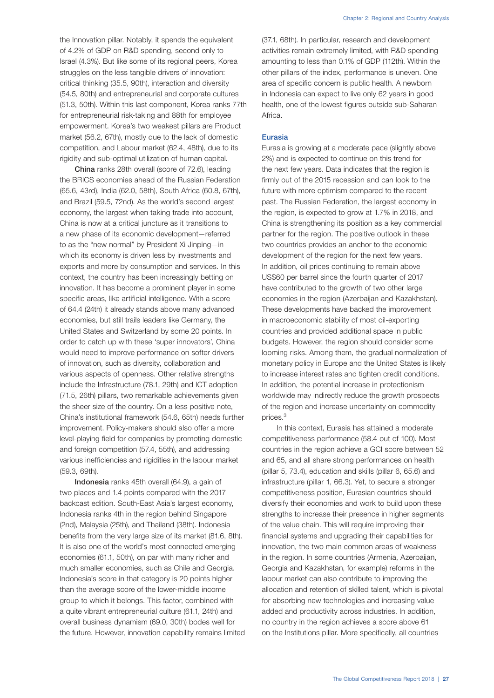the Innovation pillar. Notably, it spends the equivalent of 4.2% of GDP on R&D spending, second only to Israel (4.3%). But like some of its regional peers, Korea struggles on the less tangible drivers of innovation: critical thinking (35.5, 90th), interaction and diversity (54.5, 80th) and entrepreneurial and corporate cultures (51.3, 50th). Within this last component, Korea ranks 77th for entrepreneurial risk-taking and 88th for employee empowerment. Korea's two weakest pillars are Product market (56.2, 67th), mostly due to the lack of domestic competition, and Labour market (62.4, 48th), due to its rigidity and sub-optimal utilization of human capital.

China ranks 28th overall (score of 72.6), leading the BRICS economies ahead of the Russian Federation (65.6, 43rd), India (62.0, 58th), South Africa (60.8, 67th), and Brazil (59.5, 72nd). As the world's second largest economy, the largest when taking trade into account, China is now at a critical juncture as it transitions to a new phase of its economic development—referred to as the "new normal" by President Xi Jinping—in which its economy is driven less by investments and exports and more by consumption and services. In this context, the country has been increasingly betting on innovation. It has become a prominent player in some specific areas, like artificial intelligence. With a score of 64.4 (24th) it already stands above many advanced economies, but still trails leaders like Germany, the United States and Switzerland by some 20 points. In order to catch up with these 'super innovators', China would need to improve performance on softer drivers of innovation, such as diversity, collaboration and various aspects of openness. Other relative strengths include the Infrastructure (78.1, 29th) and ICT adoption (71.5, 26th) pillars, two remarkable achievements given the sheer size of the country. On a less positive note, China's institutional framework (54.6, 65th) needs further improvement. Policy-makers should also offer a more level-playing field for companies by promoting domestic and foreign competition (57.4, 55th), and addressing various inefficiencies and rigidities in the labour market (59.3, 69th).

Indonesia ranks 45th overall (64.9), a gain of two places and 1.4 points compared with the 2017 backcast edition. South-East Asia's largest economy, Indonesia ranks 4th in the region behind Singapore (2nd), Malaysia (25th), and Thailand (38th). Indonesia benefits from the very large size of its market (81.6, 8th). It is also one of the world's most connected emerging economies (61.1, 50th), on par with many richer and much smaller economies, such as Chile and Georgia. Indonesia's score in that category is 20 points higher than the average score of the lower-middle income group to which it belongs. This factor, combined with a quite vibrant entrepreneurial culture (61.1, 24th) and overall business dynamism (69.0, 30th) bodes well for the future. However, innovation capability remains limited (37.1, 68th). In particular, research and development activities remain extremely limited, with R&D spending amounting to less than 0.1% of GDP (112th). Within the other pillars of the index, performance is uneven. One area of specific concern is public health. A newborn in Indonesia can expect to live only 62 years in good health, one of the lowest figures outside sub-Saharan Africa.

## Eurasia

Eurasia is growing at a moderate pace (slightly above 2%) and is expected to continue on this trend for the next few years. Data indicates that the region is firmly out of the 2015 recession and can look to the future with more optimism compared to the recent past. The Russian Federation, the largest economy in the region, is expected to grow at 1.7% in 2018, and China is strengthening its position as a key commercial partner for the region. The positive outlook in these two countries provides an anchor to the economic development of the region for the next few years. In addition, oil prices continuing to remain above US\$60 per barrel since the fourth quarter of 2017 have contributed to the growth of two other large economies in the region (Azerbaijan and Kazakhstan). These developments have backed the improvement in macroeconomic stability of most oil-exporting countries and provided additional space in public budgets. However, the region should consider some looming risks. Among them, the gradual normalization of monetary policy in Europe and the United States is likely to increase interest rates and tighten credit conditions. In addition, the potential increase in protectionism worldwide may indirectly reduce the growth prospects of the region and increase uncertainty on commodity prices.3

In this context, Eurasia has attained a moderate competitiveness performance (58.4 out of 100). Most countries in the region achieve a GCI score between 52 and 65, and all share strong performances on health (pillar 5, 73.4), education and skills (pillar 6, 65.6) and infrastructure (pillar 1, 66.3). Yet, to secure a stronger competitiveness position, Eurasian countries should diversify their economies and work to build upon these strengths to increase their presence in higher segments of the value chain. This will require improving their financial systems and upgrading their capabilities for innovation, the two main common areas of weakness in the region. In some countries (Armenia, Azerbaijan, Georgia and Kazakhstan, for example) reforms in the labour market can also contribute to improving the allocation and retention of skilled talent, which is pivotal for absorbing new technologies and increasing value added and productivity across industries. In addition, no country in the region achieves a score above 61 on the Institutions pillar. More specifically, all countries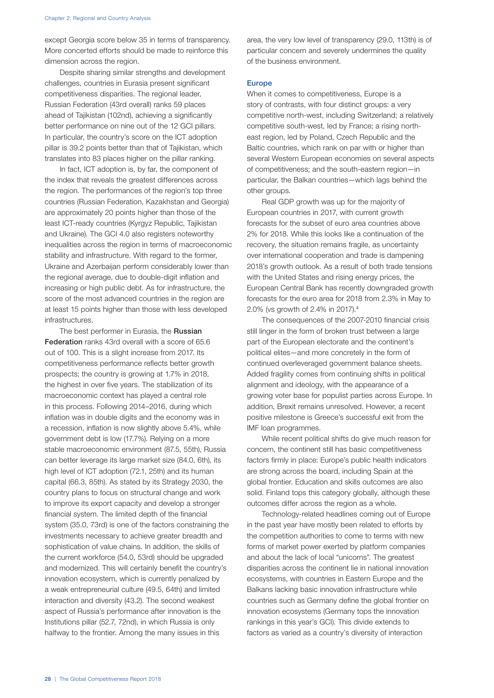except Georgia score below 35 in terms of transparency. More concerted efforts should be made to reinforce this dimension across the region.

Despite sharing similar strengths and development challenges, countries in Eurasia present significant competitiveness disparities. The regional leader, Russian Federation (43rd overall) ranks 59 places ahead of Tajikistan (102nd), achieving a significantly better performance on nine out of the 12 GCI pillars. In particular, the country's score on the ICT adoption pillar is 39.2 points better than that of Tajikistan, which translates into 83 places higher on the pillar ranking.

In fact, ICT adoption is, by far, the component of the index that reveals the greatest differences across the region. The performances of the region's top three countries (Russian Federation, Kazakhstan and Georgia) are approximately 20 points higher than those of the least ICT-ready countries (Kyrgyz Republic, Tajikistan and Ukraine). The GCI 4.0 also registers noteworthy inequalities across the region in terms of macroeconomic stability and infrastructure. With regard to the former, Ukraine and Azerbaijan perform considerably lower than the regional average, due to double-digit inflation and increasing or high public debt. As for infrastructure, the score of the most advanced countries in the region are at least 15 points higher than those with less developed infrastructures.

The best performer in Eurasia, the Russian Federation ranks 43rd overall with a score of 65.6 out of 100. This is a slight increase from 2017. Its competitiveness performance reflects better growth prospects; the country is growing at 1.7% in 2018, the highest in over five years. The stabilization of its macroeconomic context has played a central role in this process. Following 2014–2016, during which inflation was in double digits and the economy was in a recession, inflation is now slightly above 5.4%, while government debt is low (17.7%). Relying on a more stable macroeconomic environment (87.5, 55th), Russia can better leverage its large market size (84.0, 6th), its high level of ICT adoption (72.1, 25th) and its human capital (66.3, 85th). As stated by its Strategy 2030, the country plans to focus on structural change and work to improve its export capacity and develop a stronger financial system. The limited depth of the financial system (35.0, 73rd) is one of the factors constraining the investments necessary to achieve greater breadth and sophistication of value chains. In addition, the skills of the current workforce (54.0, 53rd) should be upgraded and modernized. This will certainly benefit the country's innovation ecosystem, which is currently penalized by a weak entrepreneurial culture (49.5, 64th) and limited interaction and diversity (43.2). The second weakest aspect of Russia's performance after innovation is the Institutions pillar (52.7, 72nd), in which Russia is only halfway to the frontier. Among the many issues in this

area, the very low level of transparency (29.0, 113th) is of particular concern and severely undermines the quality of the business environment.

#### Europe

When it comes to competitiveness, Europe is a story of contrasts, with four distinct groups: a very competitive north-west, including Switzerland; a relatively competitive south-west, led by France; a rising northeast region, led by Poland, Czech Republic and the Baltic countries, which rank on par with or higher than several Western European economies on several aspects of competitiveness; and the south-eastern region—in particular, the Balkan countries—which lags behind the other groups.

Real GDP growth was up for the majority of European countries in 2017, with current growth forecasts for the subset of euro area countries above 2% for 2018. While this looks like a continuation of the recovery, the situation remains fragile, as uncertainty over international cooperation and trade is dampening 2018's growth outlook. As a result of both trade tensions with the United States and rising energy prices, the European Central Bank has recently downgraded growth forecasts for the euro area for 2018 from 2.3% in May to 2.0% (vs growth of 2.4% in 2017).4

The consequences of the 2007-2010 financial crisis still linger in the form of broken trust between a large part of the European electorate and the continent's political elites—and more concretely in the form of continued overleveraged government balance sheets. Added fragility comes from continuing shifts in political alignment and ideology, with the appearance of a growing voter base for populist parties across Europe. In addition, Brexit remains unresolved. However, a recent positive milestone is Greece's successful exit from the IMF loan programmes.

While recent political shifts do give much reason for concern, the continent still has basic competitiveness factors firmly in place: Europe's public health indicators are strong across the board, including Spain at the global frontier. Education and skills outcomes are also solid. Finland tops this category globally, although these outcomes differ across the region as a whole.

Technology-related headlines coming out of Europe in the past year have mostly been related to efforts by the competition authorities to come to terms with new forms of market power exerted by platform companies and about the lack of local "unicorns". The greatest disparities across the continent lie in national innovation ecosystems, with countries in Eastern Europe and the Balkans lacking basic innovation infrastructure while countries such as Germany define the global frontier on innovation ecosystems (Germany tops the innovation rankings in this year's GCI). This divide extends to factors as varied as a country's diversity of interaction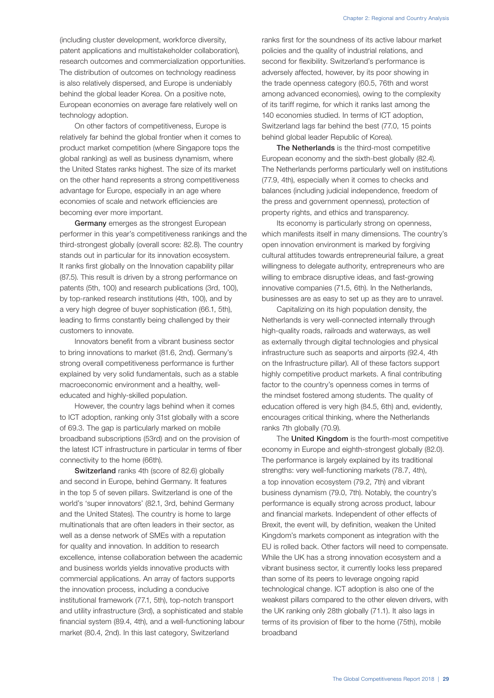research outcomes and commercialization opportunities. The distribution of outcomes on technology readiness is also relatively dispersed, and Europe is undeniably behind the global leader Korea. On a positive note, European economies on average fare relatively well on technology adoption.

On other factors of competitiveness, Europe is relatively far behind the global frontier when it comes to product market competition (where Singapore tops the global ranking) as well as business dynamism, where the United States ranks highest. The size of its market on the other hand represents a strong competitiveness advantage for Europe, especially in an age where economies of scale and network efficiencies are becoming ever more important.

Germany emerges as the strongest European performer in this year's competitiveness rankings and the third-strongest globally (overall score: 82.8). The country stands out in particular for its innovation ecosystem. It ranks first globally on the Innovation capability pillar (87.5). This result is driven by a strong performance on patents (5th, 100) and research publications (3rd, 100), by top-ranked research institutions (4th, 100), and by a very high degree of buyer sophistication (66.1, 5th), leading to firms constantly being challenged by their customers to innovate.

Innovators benefit from a vibrant business sector to bring innovations to market (81.6, 2nd). Germany's strong overall competitiveness performance is further explained by very solid fundamentals, such as a stable macroeconomic environment and a healthy, welleducated and highly-skilled population.

However, the country lags behind when it comes to ICT adoption, ranking only 31st globally with a score of 69.3. The gap is particularly marked on mobile broadband subscriptions (53rd) and on the provision of the latest ICT infrastructure in particular in terms of fiber connectivity to the home (66th).

Switzerland ranks 4th (score of 82.6) globally and second in Europe, behind Germany. It features in the top 5 of seven pillars. Switzerland is one of the world's 'super innovators' (82.1, 3rd, behind Germany and the United States). The country is home to large multinationals that are often leaders in their sector, as well as a dense network of SMEs with a reputation for quality and innovation. In addition to research excellence, intense collaboration between the academic and business worlds yields innovative products with commercial applications. An array of factors supports the innovation process, including a conducive institutional framework (77.1, 5th), top-notch transport and utility infrastructure (3rd), a sophisticated and stable financial system (89.4, 4th), and a well-functioning labour market (80.4, 2nd). In this last category, Switzerland

ranks first for the soundness of its active labour market policies and the quality of industrial relations, and second for flexibility. Switzerland's performance is adversely affected, however, by its poor showing in the trade openness category (60.5, 76th and worst among advanced economies), owing to the complexity of its tariff regime, for which it ranks last among the 140 economies studied. In terms of ICT adoption, Switzerland lags far behind the best (77.0, 15 points behind global leader Republic of Korea).

The Netherlands is the third-most competitive European economy and the sixth-best globally (82.4). The Netherlands performs particularly well on institutions (77.9, 4th), especially when it comes to checks and balances (including judicial independence, freedom of the press and government openness), protection of property rights, and ethics and transparency.

Its economy is particularly strong on openness, which manifests itself in many dimensions. The country's open innovation environment is marked by forgiving cultural attitudes towards entrepreneurial failure, a great willingness to delegate authority, entrepreneurs who are willing to embrace disruptive ideas, and fast-growing innovative companies (71.5, 6th). In the Netherlands, businesses are as easy to set up as they are to unravel.

Capitalizing on its high population density, the Netherlands is very well-connected internally through high-quality roads, railroads and waterways, as well as externally through digital technologies and physical infrastructure such as seaports and airports (92.4, 4th on the Infrastructure pillar). All of these factors support highly competitive product markets. A final contributing factor to the country's openness comes in terms of the mindset fostered among students. The quality of education offered is very high (84.5, 6th) and, evidently, encourages critical thinking, where the Netherlands ranks 7th globally (70.9).

The United Kingdom is the fourth-most competitive economy in Europe and eighth-strongest globally (82.0). The performance is largely explained by its traditional strengths: very well-functioning markets (78.7, 4th), a top innovation ecosystem (79.2, 7th) and vibrant business dynamism (79.0, 7th). Notably, the country's performance is equally strong across product, labour and financial markets. Independent of other effects of Brexit, the event will, by definition, weaken the United Kingdom's markets component as integration with the EU is rolled back. Other factors will need to compensate. While the UK has a strong innovation ecosystem and a vibrant business sector, it currently looks less prepared than some of its peers to leverage ongoing rapid technological change. ICT adoption is also one of the weakest pillars compared to the other eleven drivers, with the UK ranking only 28th globally (71.1). It also lags in terms of its provision of fiber to the home (75th), mobile broadband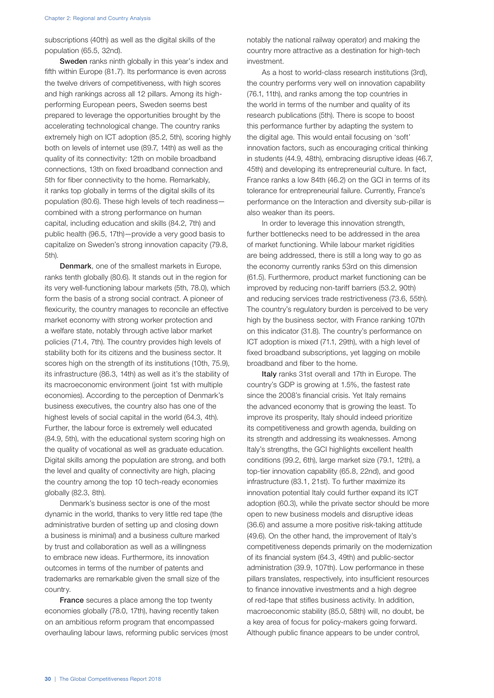subscriptions (40th) as well as the digital skills of the population (65.5, 32nd).

Sweden ranks ninth globally in this year's index and fifth within Europe (81.7). Its performance is even across the twelve drivers of competitiveness, with high scores and high rankings across all 12 pillars. Among its highperforming European peers, Sweden seems best prepared to leverage the opportunities brought by the accelerating technological change. The country ranks extremely high on ICT adoption (85.2, 5th), scoring highly both on levels of internet use (89.7, 14th) as well as the quality of its connectivity: 12th on mobile broadband connections, 13th on fixed broadband connection and 5th for fiber connectivity to the home. Remarkably, it ranks top globally in terms of the digital skills of its population (80.6). These high levels of tech readiness combined with a strong performance on human capital, including education and skills (84.2, 7th) and public health (96.5, 17th)—provide a very good basis to capitalize on Sweden's strong innovation capacity (79.8, 5th).

Denmark, one of the smallest markets in Europe, ranks tenth globally (80.6). It stands out in the region for its very well-functioning labour markets (5th, 78.0), which form the basis of a strong social contract. A pioneer of flexicurity, the country manages to reconcile an effective market economy with strong worker protection and a welfare state, notably through active labor market policies (71.4, 7th). The country provides high levels of stability both for its citizens and the business sector. It scores high on the strength of its institutions (10th, 75.9), its infrastructure (86.3, 14th) as well as it's the stability of its macroeconomic environment (joint 1st with multiple economies). According to the perception of Denmark's business executives, the country also has one of the highest levels of social capital in the world (64.3, 4th). Further, the labour force is extremely well educated (84.9, 5th), with the educational system scoring high on the quality of vocational as well as graduate education. Digital skills among the population are strong, and both the level and quality of connectivity are high, placing the country among the top 10 tech-ready economies globally (82.3, 8th).

Denmark's business sector is one of the most dynamic in the world, thanks to very little red tape (the administrative burden of setting up and closing down a business is minimal) and a business culture marked by trust and collaboration as well as a willingness to embrace new ideas. Furthermore, its innovation outcomes in terms of the number of patents and trademarks are remarkable given the small size of the country.

**France** secures a place among the top twenty economies globally (78.0, 17th), having recently taken on an ambitious reform program that encompassed overhauling labour laws, reforming public services (most notably the national railway operator) and making the country more attractive as a destination for high-tech investment.

As a host to world-class research institutions (3rd), the country performs very well on innovation capability (76.1, 11th), and ranks among the top countries in the world in terms of the number and quality of its research publications (5th). There is scope to boost this performance further by adapting the system to the digital age. This would entail focusing on 'soft' innovation factors, such as encouraging critical thinking in students (44.9, 48th), embracing disruptive ideas (46.7, 45th) and developing its entrepreneurial culture. In fact, France ranks a low 84th (46.2) on the GCI in terms of its tolerance for entrepreneurial failure. Currently, France's performance on the Interaction and diversity sub-pillar is also weaker than its peers.

In order to leverage this innovation strength, further bottlenecks need to be addressed in the area of market functioning. While labour market rigidities are being addressed, there is still a long way to go as the economy currently ranks 53rd on this dimension (61.5). Furthermore, product market functioning can be improved by reducing non-tariff barriers (53.2, 90th) and reducing services trade restrictiveness (73.6, 55th). The country's regulatory burden is perceived to be very high by the business sector, with France ranking 107th on this indicator (31.8). The country's performance on ICT adoption is mixed (71.1, 29th), with a high level of fixed broadband subscriptions, yet lagging on mobile broadband and fiber to the home.

Italy ranks 31st overall and 17th in Europe. The country's GDP is growing at 1.5%, the fastest rate since the 2008's financial crisis. Yet Italy remains the advanced economy that is growing the least. To improve its prosperity, Italy should indeed prioritize its competitiveness and growth agenda, building on its strength and addressing its weaknesses. Among Italy's strengths, the GCI highlights excellent health conditions (99.2, 6th), large market size (79.1, 12th), a top-tier innovation capability (65.8, 22nd), and good infrastructure (83.1, 21st). To further maximize its innovation potential Italy could further expand its ICT adoption (60.3), while the private sector should be more open to new business models and disruptive ideas (36.6) and assume a more positive risk-taking attitude (49.6). On the other hand, the improvement of Italy's competitiveness depends primarily on the modernization of its financial system (64.3, 49th) and public-sector administration (39.9, 107th). Low performance in these pillars translates, respectively, into insufficient resources to finance innovative investments and a high degree of red-tape that stifles business activity. In addition, macroeconomic stability (85.0, 58th) will, no doubt, be a key area of focus for policy-makers going forward. Although public finance appears to be under control,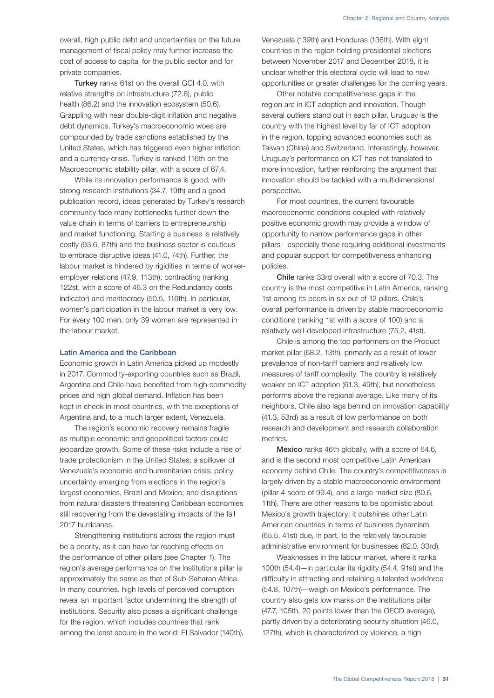overall, high public debt and uncertainties on the future management of fiscal policy may further increase the cost of access to capital for the public sector and for private companies.

**Turkey** ranks 61st on the overall GCI 4.0, with relative strengths on infrastructure (72.6), public health (86.2) and the innovation ecosystem (50.6). Grappling with near double-digit inflation and negative debt dynamics, Turkey's macroeconomic woes are compounded by trade sanctions established by the United States, which has triggered even higher inflation and a currency crisis. Turkey is ranked 116th on the Macroeconomic stability pillar, with a score of 67.4.

While its innovation performance is good, with strong research institutions (34.7, 19th) and a good publication record, ideas generated by Turkey's research community face many bottlenecks further down the value chain in terms of barriers to entrepreneurship and market functioning. Starting a business is relatively costly (93.6, 87th) and the business sector is cautious to embrace disruptive ideas (41.0, 74th). Further, the labour market is hindered by rigidities in terms of workeremployer relations (47.9, 113th), contracting (ranking 122st, with a score of 46.3 on the Redundancy costs indicator) and meritocracy (50.5, 116th). In particular, women's participation in the labour market is very low. For every 100 men, only 39 women are represented in the labour market.

## Latin America and the Caribbean

Economic growth in Latin America picked up modestly in 2017. Commodity-exporting countries such as Brazil, Argentina and Chile have benefited from high commodity prices and high global demand. Inflation has been kept in check in most countries, with the exceptions of Argentina and, to a much larger extent, Venezuela.

The region's economic recovery remains fragile as multiple economic and geopolitical factors could jeopardize growth. Some of these risks include a rise of trade protectionism in the United States; a spillover of Venezuela's economic and humanitarian crisis; policy uncertainty emerging from elections in the region's largest economies, Brazil and Mexico; and disruptions from natural disasters threatening Caribbean economies still recovering from the devastating impacts of the fall 2017 hurricanes.

Strengthening institutions across the region must be a priority, as it can have far-reaching effects on the performance of other pillars (see Chapter 1). The region's average performance on the Institutions pillar is approximately the same as that of Sub-Saharan Africa. In many countries, high levels of perceived corruption reveal an important factor undermining the strength of institutions. Security also poses a significant challenge for the region, which includes countries that rank among the least secure in the world: El Salvador (140th), Venezuela (139th) and Honduras (136th). With eight countries in the region holding presidential elections between November 2017 and December 2018, it is unclear whether this electoral cycle will lead to new opportunities or greater challenges for the coming years.

Other notable competitiveness gaps in the region are in ICT adoption and innovation. Though several outliers stand out in each pillar, Uruguay is the country with the highest level by far of ICT adoption in the region, topping advanced economies such as Taiwan (China) and Switzerland. Interestingly, however, Uruguay's performance on ICT has not translated to more innovation, further reinforcing the argument that innovation should be tackled with a multidimensional perspective.

For most countries, the current favourable macroeconomic conditions coupled with relatively positive economic growth may provide a window of opportunity to narrow performance gaps in other pillars—especially those requiring additional investments and popular support for competitiveness enhancing policies.

Chile ranks 33rd overall with a score of 70.3. The country is the most competitive in Latin America, ranking 1st among its peers in six out of 12 pillars. Chile's overall performance is driven by stable macroeconomic conditions (ranking 1st with a score of 100) and a relatively well-developed infrastructure (75.2, 41st).

Chile is among the top performers on the Product market pillar (68.2, 13th), primarily as a result of lower prevalence of non-tariff barriers and relatively low measures of tariff complexity. The country is relatively weaker on ICT adoption (61.3, 49th), but nonetheless performs above the regional average. Like many of its neighbors, Chile also lags behind on innovation capability (41.3, 53rd) as a result of low performance on both research and development and research collaboration metrics.

Mexico ranks 46th globally, with a score of 64.6, and is the second most competitive Latin American economy behind Chile. The country's competitiveness is largely driven by a stable macroeconomic environment (pillar 4 score of 99.4), and a large market size (80.6, 11th). There are other reasons to be optimistic about Mexico's growth trajectory: it outshines other Latin American countries in terms of business dynamism (65.5, 41st) due, in part, to the relatively favourable administrative environment for businesses (82.0, 33rd).

Weaknesses in the labour market, where it ranks 100th (54.4)—in particular its rigidity (54.4, 91st) and the difficulty in attracting and retaining a talented workforce (54.8, 107th)—weigh on Mexico's performance. The country also gets low marks on the Institutions pillar (47.7, 105th, 20 points lower than the OECD average), partly driven by a deteriorating security situation (46.0, 127th), which is characterized by violence, a high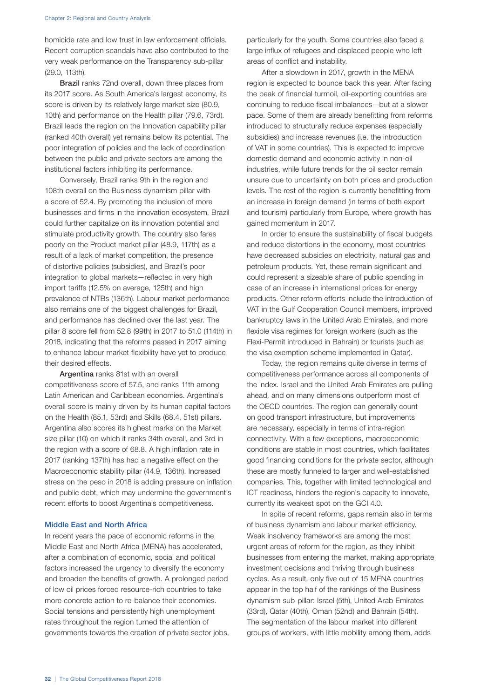homicide rate and low trust in law enforcement officials. Recent corruption scandals have also contributed to the very weak performance on the Transparency sub-pillar (29.0, 113th).

**Brazil** ranks 72nd overall, down three places from its 2017 score. As South America's largest economy, its score is driven by its relatively large market size (80.9, 10th) and performance on the Health pillar (79.6, 73rd). Brazil leads the region on the Innovation capability pillar (ranked 40th overall) yet remains below its potential. The poor integration of policies and the lack of coordination between the public and private sectors are among the institutional factors inhibiting its performance.

Conversely, Brazil ranks 9th in the region and 108th overall on the Business dynamism pillar with a score of 52.4. By promoting the inclusion of more businesses and firms in the innovation ecosystem, Brazil could further capitalize on its innovation potential and stimulate productivity growth. The country also fares poorly on the Product market pillar (48.9, 117th) as a result of a lack of market competition, the presence of distortive policies (subsidies), and Brazil's poor integration to global markets—reflected in very high import tariffs (12.5% on average, 125th) and high prevalence of NTBs (136th). Labour market performance also remains one of the biggest challenges for Brazil, and performance has declined over the last year. The pillar 8 score fell from 52.8 (99th) in 2017 to 51.0 (114th) in 2018, indicating that the reforms passed in 2017 aiming to enhance labour market flexibility have yet to produce their desired effects.

Argentina ranks 81st with an overall competitiveness score of 57.5, and ranks 11th among Latin American and Caribbean economies. Argentina's overall score is mainly driven by its human capital factors on the Health (85.1, 53rd) and Skills (68.4, 51st) pillars. Argentina also scores its highest marks on the Market size pillar (10) on which it ranks 34th overall, and 3rd in the region with a score of 68.8. A high inflation rate in 2017 (ranking 137th) has had a negative effect on the Macroeconomic stability pillar (44.9, 136th). Increased stress on the peso in 2018 is adding pressure on inflation and public debt, which may undermine the government's recent efforts to boost Argentina's competitiveness.

### Middle East and North Africa

In recent years the pace of economic reforms in the Middle East and North Africa (MENA) has accelerated, after a combination of economic, social and political factors increased the urgency to diversify the economy and broaden the benefits of growth. A prolonged period of low oil prices forced resource-rich countries to take more concrete action to re-balance their economies. Social tensions and persistently high unemployment rates throughout the region turned the attention of governments towards the creation of private sector jobs, particularly for the youth. Some countries also faced a large influx of refugees and displaced people who left areas of conflict and instability.

After a slowdown in 2017, growth in the MENA region is expected to bounce back this year. After facing the peak of financial turmoil, oil-exporting countries are continuing to reduce fiscal imbalances—but at a slower pace. Some of them are already benefitting from reforms introduced to structurally reduce expenses (especially subsidies) and increase revenues (i.e. the introduction of VAT in some countries). This is expected to improve domestic demand and economic activity in non-oil industries, while future trends for the oil sector remain unsure due to uncertainty on both prices and production levels. The rest of the region is currently benefitting from an increase in foreign demand (in terms of both export and tourism) particularly from Europe, where growth has gained momentum in 2017.

In order to ensure the sustainability of fiscal budgets and reduce distortions in the economy, most countries have decreased subsidies on electricity, natural gas and petroleum products. Yet, these remain significant and could represent a sizeable share of public spending in case of an increase in international prices for energy products. Other reform efforts include the introduction of VAT in the Gulf Cooperation Council members, improved bankruptcy laws in the United Arab Emirates, and more flexible visa regimes for foreign workers (such as the Flexi-Permit introduced in Bahrain) or tourists (such as the visa exemption scheme implemented in Qatar).

Today, the region remains quite diverse in terms of competitiveness performance across all components of the index. Israel and the United Arab Emirates are pulling ahead, and on many dimensions outperform most of the OECD countries. The region can generally count on good transport infrastructure, but improvements are necessary, especially in terms of intra-region connectivity. With a few exceptions, macroeconomic conditions are stable in most countries, which facilitates good financing conditions for the private sector, although these are mostly funneled to larger and well-established companies. This, together with limited technological and ICT readiness, hinders the region's capacity to innovate, currently its weakest spot on the GCI 4.0.

In spite of recent reforms, gaps remain also in terms of business dynamism and labour market efficiency. Weak insolvency frameworks are among the most urgent areas of reform for the region, as they inhibit businesses from entering the market, making appropriate investment decisions and thriving through business cycles. As a result, only five out of 15 MENA countries appear in the top half of the rankings of the Business dynamism sub-pillar: Israel (5th), United Arab Emirates (33rd), Qatar (40th), Oman (52nd) and Bahrain (54th). The segmentation of the labour market into different groups of workers, with little mobility among them, adds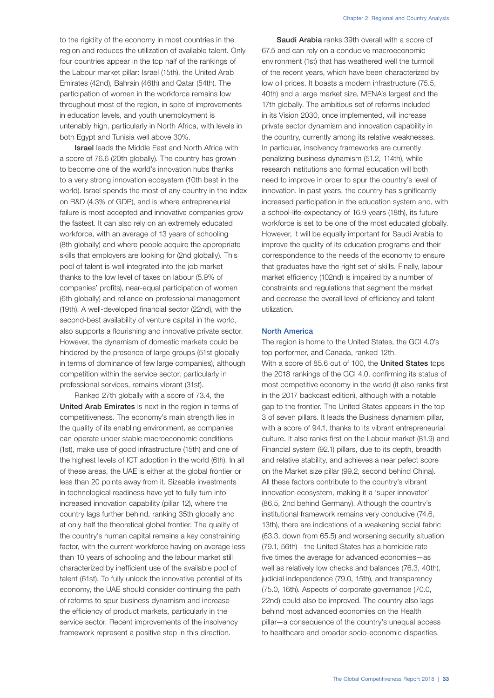to the rigidity of the economy in most countries in the region and reduces the utilization of available talent. Only four countries appear in the top half of the rankings of the Labour market pillar: Israel (15th), the United Arab Emirates (42nd), Bahrain (46th) and Qatar (54th). The participation of women in the workforce remains low throughout most of the region, in spite of improvements in education levels, and youth unemployment is untenably high, particularly in North Africa, with levels in both Egypt and Tunisia well above 30%.

Israel leads the Middle East and North Africa with a score of 76.6 (20th globally). The country has grown to become one of the world's innovation hubs thanks to a very strong innovation ecosystem (10th best in the world). Israel spends the most of any country in the index on R&D (4.3% of GDP), and is where entrepreneurial failure is most accepted and innovative companies grow the fastest. It can also rely on an extremely educated workforce, with an average of 13 years of schooling (8th globally) and where people acquire the appropriate skills that employers are looking for (2nd globally). This pool of talent is well integrated into the job market thanks to the low level of taxes on labour (5.9% of companies' profits), near-equal participation of women (6th globally) and reliance on professional management (19th). A well-developed financial sector (22nd), with the second-best availability of venture capital in the world, also supports a flourishing and innovative private sector. However, the dynamism of domestic markets could be hindered by the presence of large groups (51st globally in terms of dominance of few large companies), although competition within the service sector, particularly in professional services, remains vibrant (31st).

Ranked 27th globally with a score of 73.4, the United Arab Emirates is next in the region in terms of competitiveness. The economy's main strength lies in the quality of its enabling environment, as companies can operate under stable macroeconomic conditions (1st), make use of good infrastructure (15th) and one of the highest levels of ICT adoption in the world (6th). In all of these areas, the UAE is either at the global frontier or less than 20 points away from it. Sizeable investments in technological readiness have yet to fully turn into increased innovation capability (pillar 12), where the country lags further behind, ranking 35th globally and at only half the theoretical global frontier. The quality of the country's human capital remains a key constraining factor, with the current workforce having on average less than 10 years of schooling and the labour market still characterized by inefficient use of the available pool of talent (61st). To fully unlock the innovative potential of its economy, the UAE should consider continuing the path of reforms to spur business dynamism and increase the efficiency of product markets, particularly in the service sector. Recent improvements of the insolvency framework represent a positive step in this direction.

Saudi Arabia ranks 39th overall with a score of 67.5 and can rely on a conducive macroeconomic environment (1st) that has weathered well the turmoil of the recent years, which have been characterized by low oil prices. It boasts a modern infrastructure (75.5, 40th) and a large market size, MENA's largest and the 17th globally. The ambitious set of reforms included in its Vision 2030, once implemented, will increase private sector dynamism and innovation capability in the country, currently among its relative weaknesses. In particular, insolvency frameworks are currently penalizing business dynamism (51.2, 114th), while research institutions and formal education will both need to improve in order to spur the country's level of innovation. In past years, the country has significantly increased participation in the education system and, with a school-life-expectancy of 16.9 years (18th), its future workforce is set to be one of the most educated globally. However, it will be equally important for Saudi Arabia to improve the quality of its education programs and their correspondence to the needs of the economy to ensure that graduates have the right set of skills. Finally, labour market efficiency (102nd) is impaired by a number of constraints and regulations that segment the market and decrease the overall level of efficiency and talent utilization.

### North America

The region is home to the United States, the GCI 4.0's top performer, and Canada, ranked 12th. With a score of 85.6 out of 100, the United States tops the 2018 rankings of the GCI 4.0, confirming its status of most competitive economy in the world (it also ranks first in the 2017 backcast edition), although with a notable gap to the frontier. The United States appears in the top 3 of seven pillars. It leads the Business dynamism pillar, with a score of 94.1, thanks to its vibrant entrepreneurial culture. It also ranks first on the Labour market (81.9) and Financial system (92.1) pillars, due to its depth, breadth and relative stability, and achieves a near pefect score on the Market size pillar (99.2, second behind China). All these factors contribute to the country's vibrant innovation ecosystem, making it a 'super innovator' (86.5, 2nd behind Germany). Although the country's institutional framework remains very conducive (74.6, 13th), there are indications of a weakening social fabric (63.3, down from 65.5) and worsening security situation (79.1, 56th)—the United States has a homicide rate five times the average for advanced economies—as well as relatively low checks and balances (76.3, 40th), judicial independence (79.0, 15th), and transparency (75.0, 16th). Aspects of corporate governance (70.0, 22nd) could also be improved. The country also lags behind most advanced economies on the Health pillar—a consequence of the country's unequal access to healthcare and broader socio-economic disparities.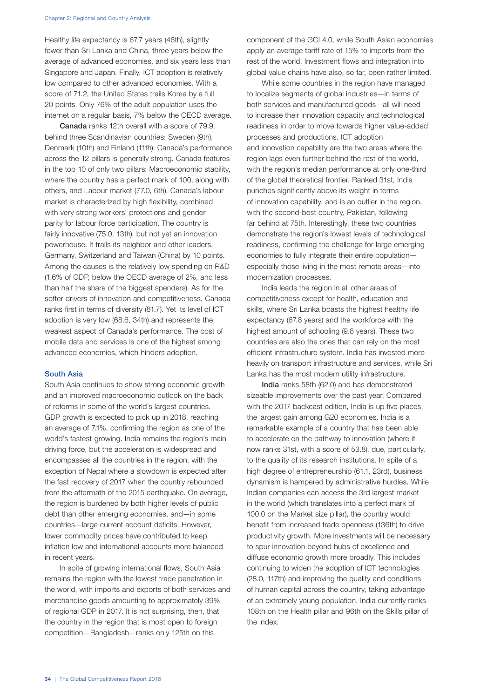Healthy life expectancy is 67.7 years (46th), slightly fewer than Sri Lanka and China, three years below the average of advanced economies, and six years less than Singapore and Japan. Finally, ICT adoption is relatively low compared to other advanced economies. With a score of 71.2, the United States trails Korea by a full 20 points. Only 76% of the adult population uses the internet on a regular basis, 7% below the OECD average.

Canada ranks 12th overall with a score of 79.9, behind three Scandinavian countries: Sweden (9th), Denmark (10th) and Finland (11th). Canada's performance across the 12 pillars is generally strong. Canada features in the top 10 of only two pillars: Macroeconomic stability, where the country has a perfect mark of 100, along with others, and Labour market (77.0, 6th). Canada's labour market is characterized by high flexibility, combined with very strong workers' protections and gender parity for labour force participation. The country is fairly innovative (75.0, 13th), but not yet an innovation powerhouse. It trails its neighbor and other leaders, Germany, Switzerland and Taiwan (China) by 10 points. Among the causes is the relatively low spending on R&D (1.6% of GDP, below the OECD average of 2%, and less than half the share of the biggest spenders). As for the softer drivers of innovation and competitiveness, Canada ranks first in terms of diversity (81.7). Yet its level of ICT adoption is very low (68.6, 34th) and represents the weakest aspect of Canada's performance. The cost of mobile data and services is one of the highest among advanced economies, which hinders adoption.

#### South Asia

South Asia continues to show strong economic growth and an improved macroeconomic outlook on the back of reforms in some of the world's largest countries. GDP growth is expected to pick up in 2018, reaching an average of 7.1%, confirming the region as one of the world's fastest-growing. India remains the region's main driving force, but the acceleration is widespread and encompasses all the countries in the region, with the exception of Nepal where a slowdown is expected after the fast recovery of 2017 when the country rebounded from the aftermath of the 2015 earthquake. On average, the region is burdened by both higher levels of public debt than other emerging economies, and—in some countries—large current account deficits. However, lower commodity prices have contributed to keep inflation low and international accounts more balanced in recent years.

In spite of growing international flows, South Asia remains the region with the lowest trade penetration in the world, with imports and exports of both services and merchandise goods amounting to approximately 39% of regional GDP in 2017. It is not surprising, then, that the country in the region that is most open to foreign competition—Bangladesh—ranks only 125th on this

component of the GCI 4.0, while South Asian economies apply an average tariff rate of 15% to imports from the rest of the world. Investment flows and integration into global value chains have also, so far, been rather limited.

While some countries in the region have managed to localize segments of global industries—in terms of both services and manufactured goods—all will need to increase their innovation capacity and technological readiness in order to move towards higher value-added processes and productions. ICT adoption and innovation capability are the two areas where the region lags even further behind the rest of the world, with the region's median performance at only one-third of the global theoretical frontier. Ranked 31st, India punches significantly above its weight in terms of innovation capability, and is an outlier in the region, with the second-best country, Pakistan, following far behind at 75th. Interestingly, these two countries demonstrate the region's lowest levels of technological readiness, confirming the challenge for large emerging economies to fully integrate their entire population especially those living in the most remote areas—into modernization processes.

India leads the region in all other areas of competitiveness except for health, education and skills, where Sri Lanka boasts the highest healthy life expectancy (67.8 years) and the workforce with the highest amount of schooling (9.8 years). These two countries are also the ones that can rely on the most efficient infrastructure system. India has invested more heavily on transport infrastructure and services, while Sri Lanka has the most modern utility infrastructure.

India ranks 58th (62.0) and has demonstrated sizeable improvements over the past year. Compared with the 2017 backcast edition, India is up five places, the largest gain among G20 economies. India is a remarkable example of a country that has been able to accelerate on the pathway to innovation (where it now ranks 31st, with a score of 53.8), due, particularly, to the quality of its research institutions. In spite of a high degree of entrepreneurship (61.1, 23rd), business dynamism is hampered by administrative hurdles. While Indian companies can access the 3rd largest market in the world (which translates into a perfect mark of 100.0 on the Market size pillar), the country would benefit from increased trade openness (136th) to drive productivity growth. More investments will be necessary to spur innovation beyond hubs of excellence and diffuse economic growth more broadly. This includes continuing to widen the adoption of ICT technologies (28.0, 117th) and improving the quality and conditions of human capital across the country, taking advantage of an extremely young population. India currently ranks 108th on the Health pillar and 96th on the Skills pillar of the index.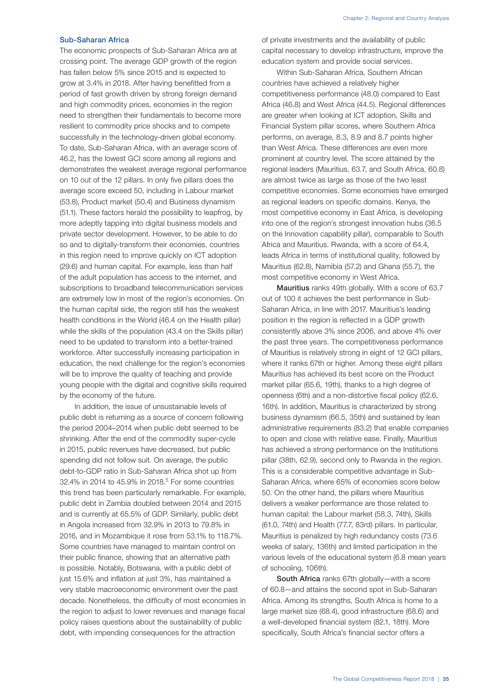## Sub-Saharan Africa

The economic prospects of Sub-Saharan Africa are at crossing point. The average GDP growth of the region has fallen below 5% since 2015 and is expected to grow at 3.4% in 2018. After having benefitted from a period of fast growth driven by strong foreign demand and high commodity prices, economies in the region need to strengthen their fundamentals to become more resilient to commodity price shocks and to compete successfully in the technology-driven global economy. To date, Sub-Saharan Africa, with an average score of 46.2, has the lowest GCI score among all regions and demonstrates the weakest average regional performance on 10 out of the 12 pillars. In only five pillars does the average score exceed 50, including in Labour market (53.8), Product market (50.4) and Business dynamism (51.1). These factors herald the possibility to leapfrog, by more adeptly tapping into digital business models and private sector development. However, to be able to do so and to digitally-transform their economies, countries in this region need to improve quickly on ICT adoption (29.6) and human capital. For example, less than half of the adult population has access to the internet, and subscriptions to broadband telecommunication services are extremely low in most of the region's economies. On the human capital side, the region still has the weakest health conditions in the World (46.4 on the Health pillar) while the skills of the population (43.4 on the Skills pillar) need to be updated to transform into a better-trained workforce. After successfully increasing participation in education, the next challenge for the region's economies will be to improve the quality of teaching and provide young people with the digital and cognitive skills required by the economy of the future.

In addition, the issue of unsustainable levels of public debt is returning as a source of concern following the period 2004–2014 when public debt seemed to be shrinking. After the end of the commodity super-cycle in 2015, public revenues have decreased, but public spending did not follow suit. On average, the public debt-to-GDP ratio in Sub-Saharan Africa shot up from 32.4% in 2014 to 45.9% in 2018.5 For some countries this trend has been particularly remarkable. For example, public debt in Zambia doubled between 2014 and 2015 and is currently at 65.5% of GDP. Similarly, public debt in Angola increased from 32.9% in 2013 to 79.8% in 2016, and in Mozambique it rose from 53.1% to 118.7%. Some countries have managed to maintain control on their public finance, showing that an alternative path is possible. Notably, Botswana, with a public debt of just 15.6% and inflation at just 3%, has maintained a very stable macroeconomic environment over the past decade. Nonetheless, the difficulty of most economies in the region to adjust to lower revenues and manage fiscal policy raises questions about the sustainability of public debt, with impending consequences for the attraction

of private investments and the availability of public capital necessary to develop infrastructure, improve the education system and provide social services.

Within Sub-Saharan Africa, Southern African countries have achieved a relatively higher competitiveness performance (48.0) compared to East Africa (46.8) and West Africa (44.5). Regional differences are greater when looking at ICT adoption, Skills and Financial System pillar scores, where Southern Africa performs, on average, 8.3, 8.9 and 8.7 points higher than West Africa. These differences are even more prominent at country level. The score attained by the regional leaders (Mauritius, 63.7, and South Africa, 60.8) are almost twice as large as those of the two least competitive economies. Some economies have emerged as regional leaders on specific domains. Kenya, the most competitive economy in East Africa, is developing into one of the region's strongest innovation hubs (36.5 on the Innovation capability pillar), comparable to South Africa and Mauritius. Rwanda, with a score of 64.4, leads Africa in terms of institutional quality, followed by Mauritius (62.8), Namibia (57.2) and Ghana (55.7), the most competitive economy in West Africa.

Mauritius ranks 49th globally. With a score of 63.7 out of 100 it achieves the best performance in Sub-Saharan Africa, in line with 2017. Mauritius's leading position in the region is reflected in a GDP growth consistently above 3% since 2006, and above 4% over the past three years. The competitiveness performance of Mauritius is relatively strong in eight of 12 GCI pillars, where it ranks 67th or higher. Among these eight pillars Mauritius has achieved its best score on the Product market pillar (65.6, 19th), thanks to a high degree of openness (6th) and a non-distortive fiscal policy (62.6, 16th). In addition, Mauritius is characterized by strong business dynamism (66.5, 35th) and sustained by lean administrative requirements (83.2) that enable companies to open and close with relative ease. Finally, Mauritius has achieved a strong performance on the Institutions pillar (38th, 62.9), second only to Rwanda in the region. This is a considerable competitive advantage in Sub-Saharan Africa, where 65% of economies score below 50. On the other hand, the pillars where Mauritius delivers a weaker performance are those related to human capital: the Labour market (58.3, 74th), Skills (61.0, 74th) and Health (77.7, 83rd) pillars. In particular, Mauritius is penalized by high redundancy costs (73.6 weeks of salary, 136th) and limited participation in the various levels of the educational system (6.8 mean years of schooling, 106th).

South Africa ranks 67th globally—with a score of 60.8—and attains the second spot in Sub-Saharan Africa. Among its strengths, South Africa is home to a large market size (68.4), good infrastructure (68.6) and a well-developed financial system (82.1, 18th). More specifically, South Africa's financial sector offers a